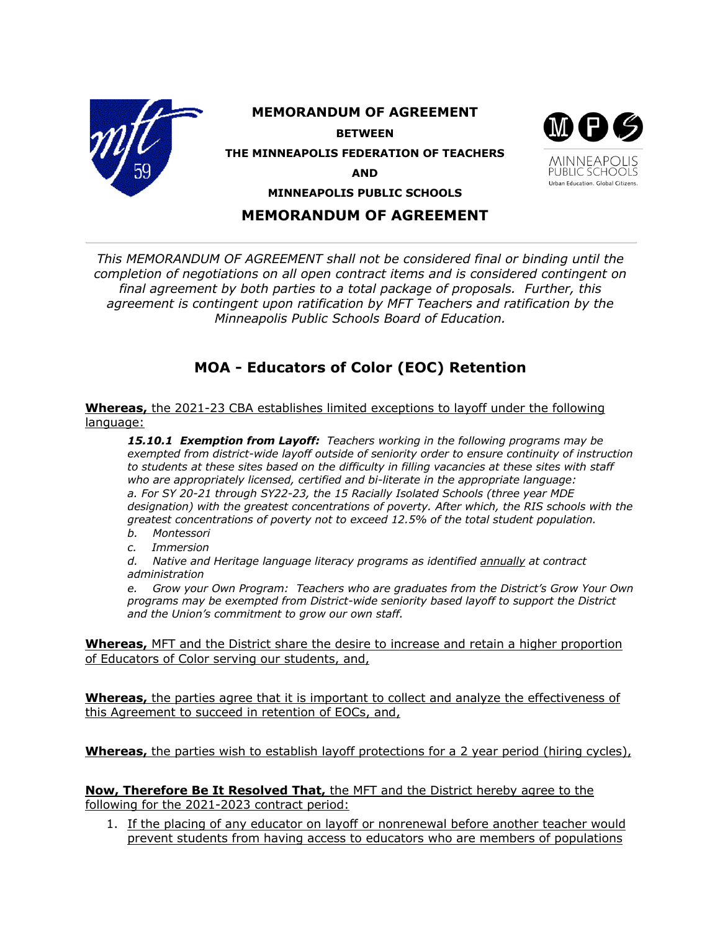

## **MEMORANDUM OF AGREEMENT**

*This MEMORANDUM OF AGREEMENT shall not be considered final or binding until the completion of negotiations on all open contract items and is considered contingent on final agreement by both parties to a total package of proposals. Further, this agreement is contingent upon ratification by MFT Teachers and ratification by the Minneapolis Public Schools Board of Education.*

## **MOA - Educators of Color (EOC) Retention**

**Whereas,** the 2021-23 CBA establishes limited exceptions to layoff under the following language:

*15.10.1 Exemption from Layoff: Teachers working in the following programs may be exempted from district-wide layoff outside of seniority order to ensure continuity of instruction to students at these sites based on the difficulty in filling vacancies at these sites with staff who are appropriately licensed, certified and bi-literate in the appropriate language: a. For SY 20-21 through SY22-23, the 15 Racially Isolated Schools (three year MDE designation) with the greatest concentrations of poverty. After which, the RIS schools with the greatest concentrations of poverty not to exceed 12.5% of the total student population.*

- *b. Montessori*
- *c. Immersion*

*d. Native and Heritage language literacy programs as identified annually at contract administration* 

*e. Grow your Own Program: Teachers who are graduates from the District's Grow Your Own programs may be exempted from District-wide seniority based layoff to support the District and the Union's commitment to grow our own staff.*

**Whereas,** MFT and the District share the desire to increase and retain a higher proportion of Educators of Color serving our students, and,

**Whereas,** the parties agree that it is important to collect and analyze the effectiveness of this Agreement to succeed in retention of EOCs, and,

**Whereas,** the parties wish to establish layoff protections for a 2 year period (hiring cycles),

**Now, Therefore Be It Resolved That,** the MFT and the District hereby agree to the following for the 2021-2023 contract period:

1. If the placing of any educator on layoff or nonrenewal before another teacher would prevent students from having access to educators who are members of populations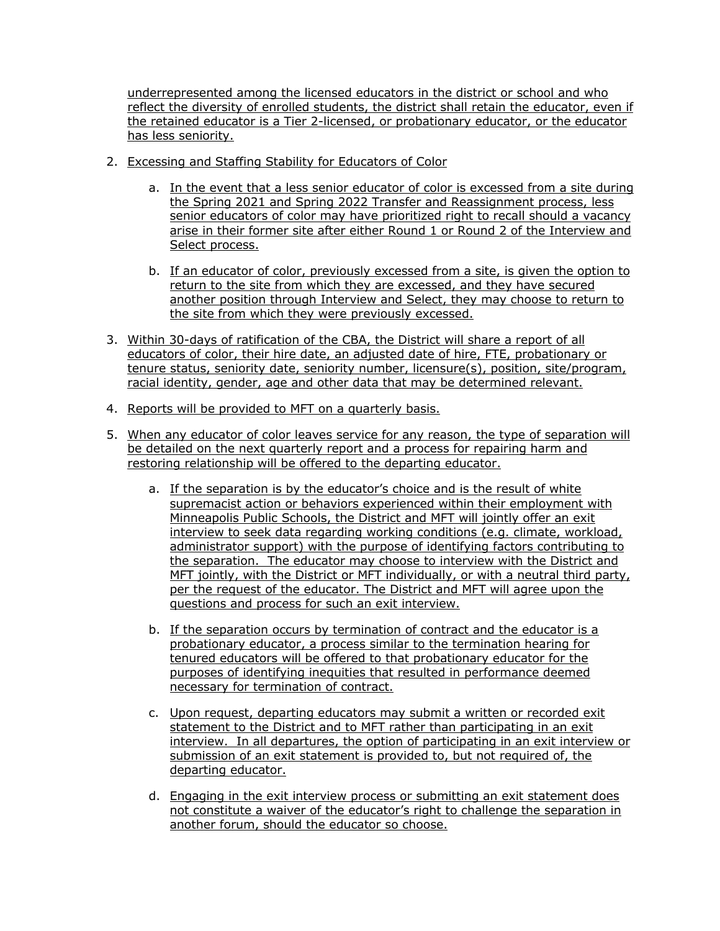underrepresented among the licensed educators in the district or school and who reflect the diversity of enrolled students, the district shall retain the educator, even if the retained educator is a Tier 2-licensed, or probationary educator, or the educator has less seniority.

- 2. Excessing and Staffing Stability for Educators of Color
	- a. In the event that a less senior educator of color is excessed from a site during the Spring 2021 and Spring 2022 Transfer and Reassignment process, less senior educators of color may have prioritized right to recall should a vacancy arise in their former site after either Round 1 or Round 2 of the Interview and Select process.
	- b. If an educator of color, previously excessed from a site, is given the option to return to the site from which they are excessed, and they have secured another position through Interview and Select, they may choose to return to the site from which they were previously excessed.
- 3. Within 30-days of ratification of the CBA, the District will share a report of all educators of color, their hire date, an adjusted date of hire, FTE, probationary or tenure status, seniority date, seniority number, licensure(s), position, site/program, racial identity, gender, age and other data that may be determined relevant.
- 4. Reports will be provided to MFT on a quarterly basis.
- 5. When any educator of color leaves service for any reason, the type of separation will be detailed on the next quarterly report and a process for repairing harm and restoring relationship will be offered to the departing educator.
	- a. If the separation is by the educator's choice and is the result of white supremacist action or behaviors experienced within their employment with Minneapolis Public Schools, the District and MFT will jointly offer an exit interview to seek data regarding working conditions (e.g. climate, workload, administrator support) with the purpose of identifying factors contributing to the separation. The educator may choose to interview with the District and MFT jointly, with the District or MFT individually, or with a neutral third party, per the request of the educator. The District and MFT will agree upon the questions and process for such an exit interview.
	- b. If the separation occurs by termination of contract and the educator is a probationary educator, a process similar to the termination hearing for tenured educators will be offered to that probationary educator for the purposes of identifying inequities that resulted in performance deemed necessary for termination of contract.
	- c. Upon request, departing educators may submit a written or recorded exit statement to the District and to MFT rather than participating in an exit interview. In all departures, the option of participating in an exit interview or submission of an exit statement is provided to, but not required of, the departing educator.
	- d. Engaging in the exit interview process or submitting an exit statement does not constitute a waiver of the educator's right to challenge the separation in another forum, should the educator so choose.